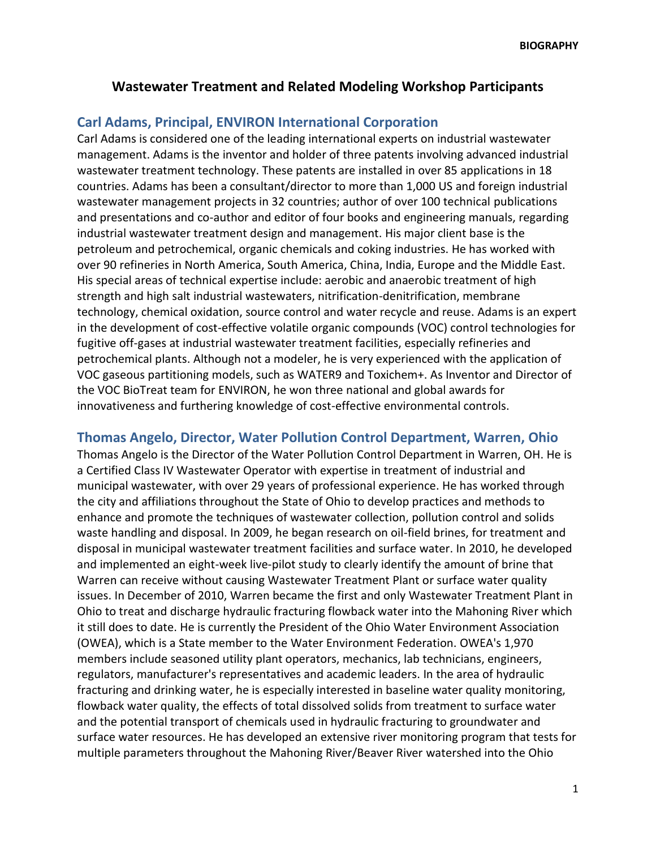## **Wastewater Treatment and Related Modeling Workshop Participants**

## **Carl Adams, Principal, ENVIRON International Corporation**

Carl Adams is considered one of the leading international experts on industrial wastewater management. Adams is the inventor and holder of three patents involving advanced industrial wastewater treatment technology. These patents are installed in over 85 applications in 18 countries. Adams has been a consultant/director to more than 1,000 US and foreign industrial wastewater management projects in 32 countries; author of over 100 technical publications and presentations and co-author and editor of four books and engineering manuals, regarding industrial wastewater treatment design and management. His major client base is the petroleum and petrochemical, organic chemicals and coking industries. He has worked with over 90 refineries in North America, South America, China, India, Europe and the Middle East. His special areas of technical expertise include: aerobic and anaerobic treatment of high strength and high salt industrial wastewaters, nitrification-denitrification, membrane technology, chemical oxidation, source control and water recycle and reuse. Adams is an expert in the development of cost-effective volatile organic compounds (VOC) control technologies for fugitive off-gases at industrial wastewater treatment facilities, especially refineries and petrochemical plants. Although not a modeler, he is very experienced with the application of VOC gaseous partitioning models, such as WATER9 and Toxichem+. As Inventor and Director of the VOC BioTreat team for ENVIRON, he won three national and global awards for innovativeness and furthering knowledge of cost-effective environmental controls.

## **Thomas Angelo, Director, Water Pollution Control Department, Warren, Ohio**

Thomas Angelo is the Director of the Water Pollution Control Department in Warren, OH. He is a Certified Class IV Wastewater Operator with expertise in treatment of industrial and municipal wastewater, with over 29 years of professional experience. He has worked through the city and affiliations throughout the State of Ohio to develop practices and methods to enhance and promote the techniques of wastewater collection, pollution control and solids waste handling and disposal. In 2009, he began research on oil-field brines, for treatment and disposal in municipal wastewater treatment facilities and surface water. In 2010, he developed and implemented an eight-week live-pilot study to clearly identify the amount of brine that Warren can receive without causing Wastewater Treatment Plant or surface water quality issues. In December of 2010, Warren became the first and only Wastewater Treatment Plant in Ohio to treat and discharge hydraulic fracturing flowback water into the Mahoning River which it still does to date. He is currently the President of the Ohio Water Environment Association (OWEA), which is a State member to the Water Environment Federation. OWEA's 1,970 members include seasoned utility plant operators, mechanics, lab technicians, engineers, regulators, manufacturer's representatives and academic leaders. In the area of hydraulic fracturing and drinking water, he is especially interested in baseline water quality monitoring, flowback water quality, the effects of total dissolved solids from treatment to surface water and the potential transport of chemicals used in hydraulic fracturing to groundwater and surface water resources. He has developed an extensive river monitoring program that tests for multiple parameters throughout the Mahoning River/Beaver River watershed into the Ohio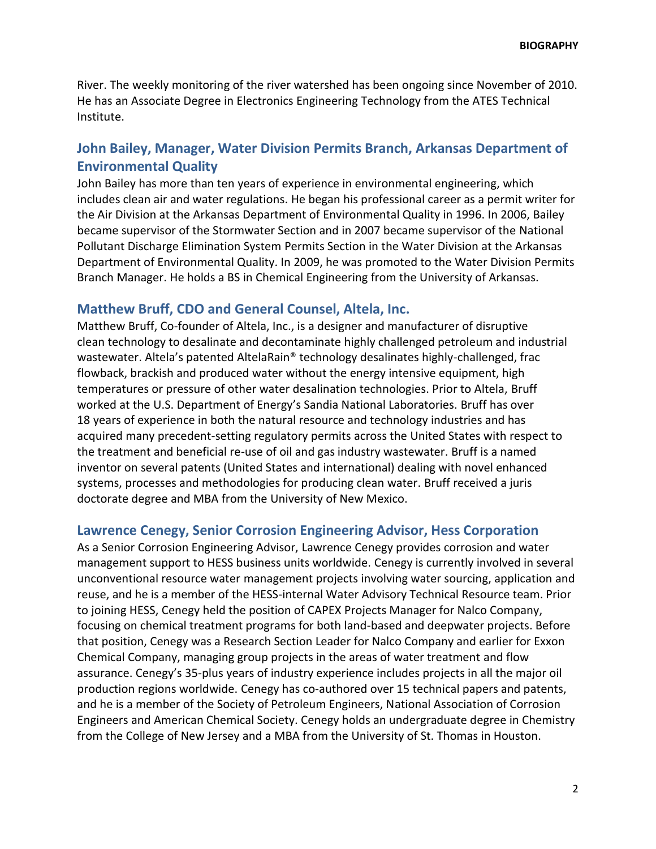River. The weekly monitoring of the river watershed has been ongoing since November of 2010. He has an Associate Degree in Electronics Engineering Technology from the ATES Technical Institute.

# **John Bailey, Manager, Water Division Permits Branch, Arkansas Department of Environmental Quality**

John Bailey has more than ten years of experience in environmental engineering, which includes clean air and water regulations. He began his professional career as a permit writer for the Air Division at the Arkansas Department of Environmental Quality in 1996. In 2006, Bailey became supervisor of the Stormwater Section and in 2007 became supervisor of the National Pollutant Discharge Elimination System Permits Section in the Water Division at the Arkansas Department of Environmental Quality. In 2009, he was promoted to the Water Division Permits Branch Manager. He holds a BS in Chemical Engineering from the University of Arkansas.

### **Matthew Bruff, CDO and General Counsel, Altela, Inc.**

Matthew Bruff, Co-founder of Altela, Inc., is a designer and manufacturer of disruptive clean technology to desalinate and decontaminate highly challenged petroleum and industrial wastewater. Altela's patented AltelaRain® technology desalinates highly-challenged, frac flowback, brackish and produced water without the energy intensive equipment, high temperatures or pressure of other water desalination technologies. Prior to Altela, Bruff worked at the U.S. Department of Energy's Sandia National Laboratories. Bruff has over 18 years of experience in both the natural resource and technology industries and has acquired many precedent-setting regulatory permits across the United States with respect to the treatment and beneficial re-use of oil and gas industry wastewater. Bruff is a named inventor on several patents (United States and international) dealing with novel enhanced systems, processes and methodologies for producing clean water. Bruff received a juris doctorate degree and MBA from the University of New Mexico.

### **Lawrence Cenegy, Senior Corrosion Engineering Advisor, Hess Corporation**

As a Senior Corrosion Engineering Advisor, Lawrence Cenegy provides corrosion and water management support to HESS business units worldwide. Cenegy is currently involved in several unconventional resource water management projects involving water sourcing, application and reuse, and he is a member of the HESS-internal Water Advisory Technical Resource team. Prior to joining HESS, Cenegy held the position of CAPEX Projects Manager for Nalco Company, focusing on chemical treatment programs for both land-based and deepwater projects. Before that position, Cenegy was a Research Section Leader for Nalco Company and earlier for Exxon Chemical Company, managing group projects in the areas of water treatment and flow assurance. Cenegy's 35-plus years of industry experience includes projects in all the major oil production regions worldwide. Cenegy has co-authored over 15 technical papers and patents, and he is a member of the Society of Petroleum Engineers, National Association of Corrosion Engineers and American Chemical Society. Cenegy holds an undergraduate degree in Chemistry from the College of New Jersey and a MBA from the University of St. Thomas in Houston.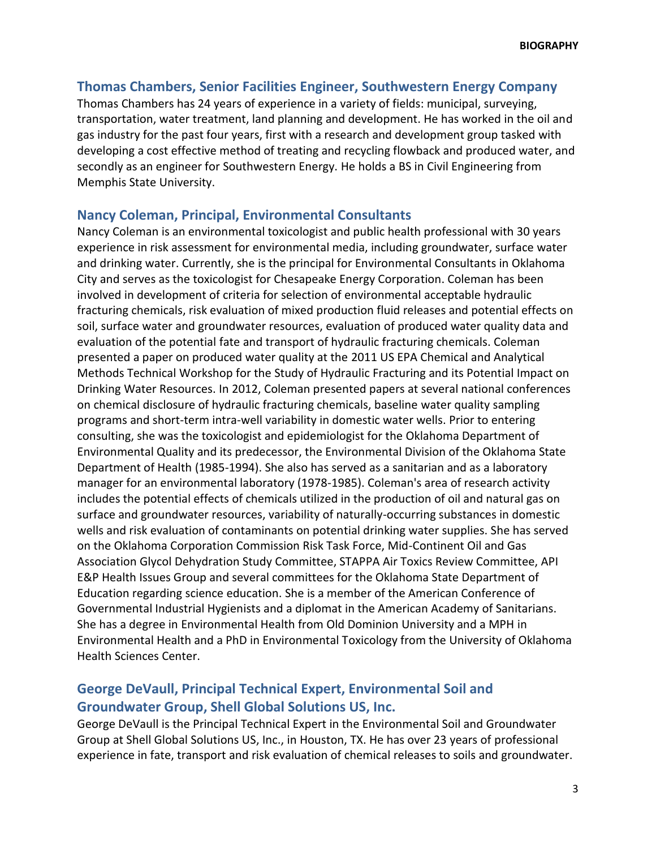## **Thomas Chambers, Senior Facilities Engineer, Southwestern Energy Company**

Thomas Chambers has 24 years of experience in a variety of fields: municipal, surveying, transportation, water treatment, land planning and development. He has worked in the oil and gas industry for the past four years, first with a research and development group tasked with developing a cost effective method of treating and recycling flowback and produced water, and secondly as an engineer for Southwestern Energy. He holds a BS in Civil Engineering from Memphis State University.

### **Nancy Coleman, Principal, Environmental Consultants**

Nancy Coleman is an environmental toxicologist and public health professional with 30 years experience in risk assessment for environmental media, including groundwater, surface water and drinking water. Currently, she is the principal for Environmental Consultants in Oklahoma City and serves as the toxicologist for Chesapeake Energy Corporation. Coleman has been involved in development of criteria for selection of environmental acceptable hydraulic fracturing chemicals, risk evaluation of mixed production fluid releases and potential effects on soil, surface water and groundwater resources, evaluation of produced water quality data and evaluation of the potential fate and transport of hydraulic fracturing chemicals. Coleman presented a paper on produced water quality at the 2011 US EPA Chemical and Analytical Methods Technical Workshop for the Study of Hydraulic Fracturing and its Potential Impact on Drinking Water Resources. In 2012, Coleman presented papers at several national conferences on chemical disclosure of hydraulic fracturing chemicals, baseline water quality sampling programs and short-term intra-well variability in domestic water wells. Prior to entering consulting, she was the toxicologist and epidemiologist for the Oklahoma Department of Environmental Quality and its predecessor, the Environmental Division of the Oklahoma State Department of Health (1985-1994). She also has served as a sanitarian and as a laboratory manager for an environmental laboratory (1978-1985). Coleman's area of research activity includes the potential effects of chemicals utilized in the production of oil and natural gas on surface and groundwater resources, variability of naturally-occurring substances in domestic wells and risk evaluation of contaminants on potential drinking water supplies. She has served on the Oklahoma Corporation Commission Risk Task Force, Mid-Continent Oil and Gas Association Glycol Dehydration Study Committee, STAPPA Air Toxics Review Committee, API E&P Health Issues Group and several committees for the Oklahoma State Department of Education regarding science education. She is a member of the American Conference of Governmental Industrial Hygienists and a diplomat in the American Academy of Sanitarians. She has a degree in Environmental Health from Old Dominion University and a MPH in Environmental Health and a PhD in Environmental Toxicology from the University of Oklahoma Health Sciences Center.

# **George DeVaull, Principal Technical Expert, Environmental Soil and Groundwater Group, Shell Global Solutions US, Inc.**

George DeVaull is the Principal Technical Expert in the Environmental Soil and Groundwater Group at Shell Global Solutions US, Inc., in Houston, TX. He has over 23 years of professional experience in fate, transport and risk evaluation of chemical releases to soils and groundwater.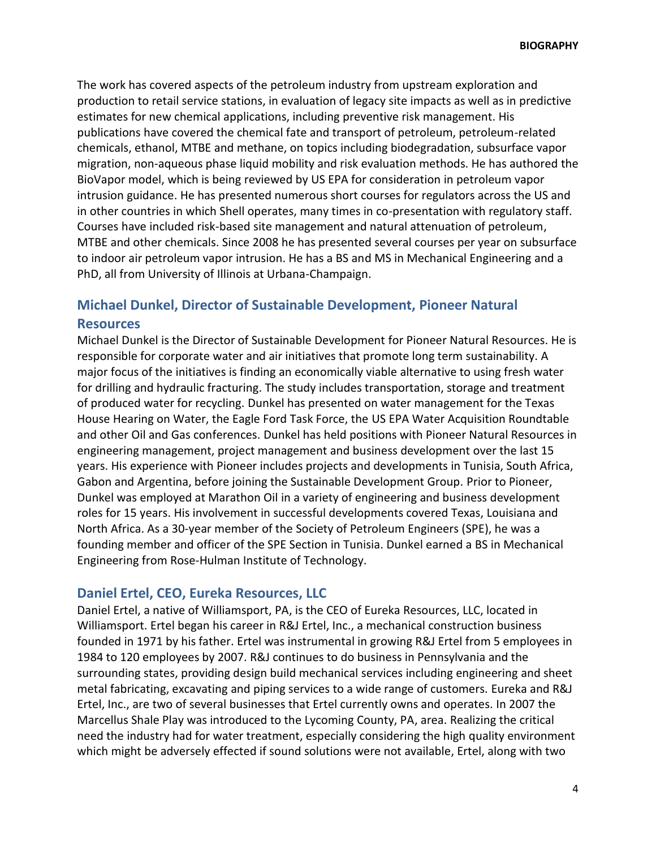The work has covered aspects of the petroleum industry from upstream exploration and production to retail service stations, in evaluation of legacy site impacts as well as in predictive estimates for new chemical applications, including preventive risk management. His publications have covered the chemical fate and transport of petroleum, petroleum-related chemicals, ethanol, MTBE and methane, on topics including biodegradation, subsurface vapor migration, non-aqueous phase liquid mobility and risk evaluation methods. He has authored the BioVapor model, which is being reviewed by US EPA for consideration in petroleum vapor intrusion guidance. He has presented numerous short courses for regulators across the US and in other countries in which Shell operates, many times in co-presentation with regulatory staff. Courses have included risk-based site management and natural attenuation of petroleum, MTBE and other chemicals. Since 2008 he has presented several courses per year on subsurface to indoor air petroleum vapor intrusion. He has a BS and MS in Mechanical Engineering and a PhD, all from University of Illinois at Urbana-Champaign.

## **Michael Dunkel, Director of Sustainable Development, Pioneer Natural Resources**

Michael Dunkel is the Director of Sustainable Development for Pioneer Natural Resources. He is responsible for corporate water and air initiatives that promote long term sustainability. A major focus of the initiatives is finding an economically viable alternative to using fresh water for drilling and hydraulic fracturing. The study includes transportation, storage and treatment of produced water for recycling. Dunkel has presented on water management for the Texas House Hearing on Water, the Eagle Ford Task Force, the US EPA Water Acquisition Roundtable and other Oil and Gas conferences. Dunkel has held positions with Pioneer Natural Resources in engineering management, project management and business development over the last 15 years. His experience with Pioneer includes projects and developments in Tunisia, South Africa, Gabon and Argentina, before joining the Sustainable Development Group. Prior to Pioneer, Dunkel was employed at Marathon Oil in a variety of engineering and business development roles for 15 years. His involvement in successful developments covered Texas, Louisiana and North Africa. As a 30-year member of the Society of Petroleum Engineers (SPE), he was a founding member and officer of the SPE Section in Tunisia. Dunkel earned a BS in Mechanical Engineering from Rose-Hulman Institute of Technology.

#### **Daniel Ertel, CEO, Eureka Resources, LLC**

Daniel Ertel, a native of Williamsport, PA, is the CEO of Eureka Resources, LLC, located in Williamsport. Ertel began his career in R&J Ertel, Inc., a mechanical construction business founded in 1971 by his father. Ertel was instrumental in growing R&J Ertel from 5 employees in 1984 to 120 employees by 2007. R&J continues to do business in Pennsylvania and the surrounding states, providing design build mechanical services including engineering and sheet metal fabricating, excavating and piping services to a wide range of customers. Eureka and R&J Ertel, Inc., are two of several businesses that Ertel currently owns and operates. In 2007 the Marcellus Shale Play was introduced to the Lycoming County, PA, area. Realizing the critical need the industry had for water treatment, especially considering the high quality environment which might be adversely effected if sound solutions were not available, Ertel, along with two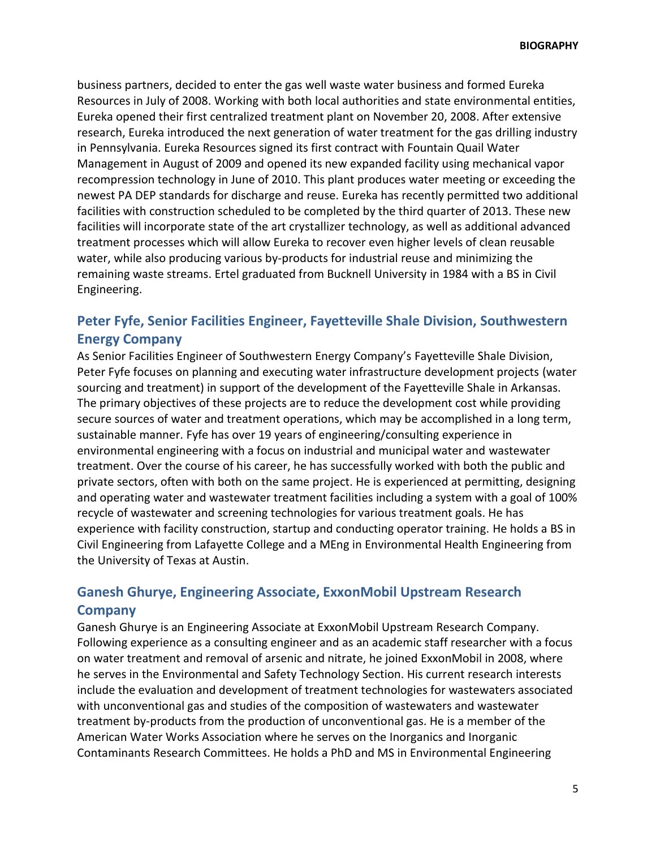business partners, decided to enter the gas well waste water business and formed Eureka Resources in July of 2008. Working with both local authorities and state environmental entities, Eureka opened their first centralized treatment plant on November 20, 2008. After extensive research, Eureka introduced the next generation of water treatment for the gas drilling industry in Pennsylvania. Eureka Resources signed its first contract with Fountain Quail Water Management in August of 2009 and opened its new expanded facility using mechanical vapor recompression technology in June of 2010. This plant produces water meeting or exceeding the newest PA DEP standards for discharge and reuse. Eureka has recently permitted two additional facilities with construction scheduled to be completed by the third quarter of 2013. These new facilities will incorporate state of the art crystallizer technology, as well as additional advanced treatment processes which will allow Eureka to recover even higher levels of clean reusable water, while also producing various by-products for industrial reuse and minimizing the remaining waste streams. Ertel graduated from Bucknell University in 1984 with a BS in Civil Engineering.

# **Peter Fyfe, Senior Facilities Engineer, Fayetteville Shale Division, Southwestern Energy Company**

As Senior Facilities Engineer of Southwestern Energy Company's Fayetteville Shale Division, Peter Fyfe focuses on planning and executing water infrastructure development projects (water sourcing and treatment) in support of the development of the Fayetteville Shale in Arkansas. The primary objectives of these projects are to reduce the development cost while providing secure sources of water and treatment operations, which may be accomplished in a long term, sustainable manner. Fyfe has over 19 years of engineering/consulting experience in environmental engineering with a focus on industrial and municipal water and wastewater treatment. Over the course of his career, he has successfully worked with both the public and private sectors, often with both on the same project. He is experienced at permitting, designing and operating water and wastewater treatment facilities including a system with a goal of 100% recycle of wastewater and screening technologies for various treatment goals. He has experience with facility construction, startup and conducting operator training. He holds a BS in Civil Engineering from Lafayette College and a MEng in Environmental Health Engineering from the University of Texas at Austin.

# **Ganesh Ghurye, Engineering Associate, ExxonMobil Upstream Research Company**

Ganesh Ghurye is an Engineering Associate at ExxonMobil Upstream Research Company. Following experience as a consulting engineer and as an academic staff researcher with a focus on water treatment and removal of arsenic and nitrate, he joined ExxonMobil in 2008, where he serves in the Environmental and Safety Technology Section. His current research interests include the evaluation and development of treatment technologies for wastewaters associated with unconventional gas and studies of the composition of wastewaters and wastewater treatment by-products from the production of unconventional gas. He is a member of the American Water Works Association where he serves on the Inorganics and Inorganic Contaminants Research Committees. He holds a PhD and MS in Environmental Engineering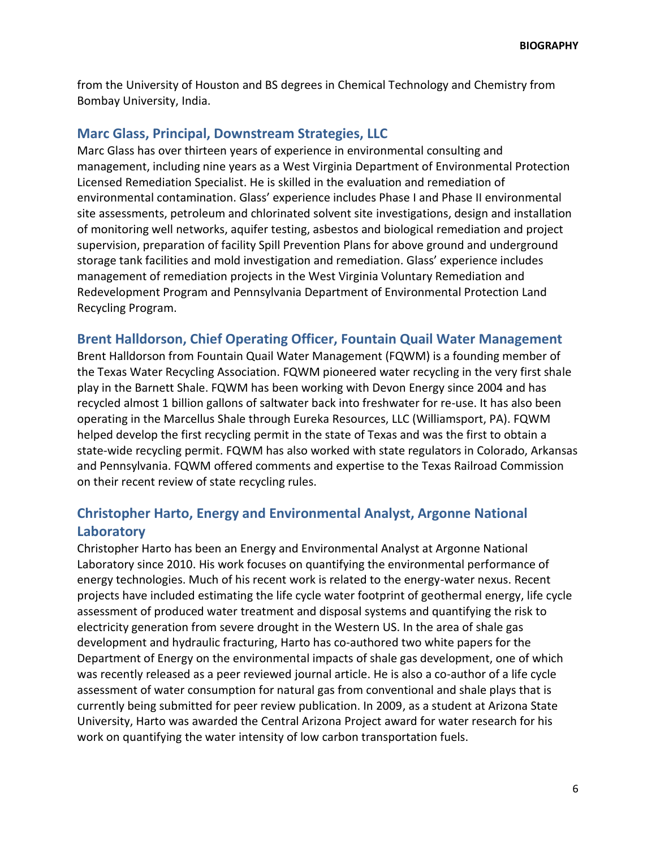from the University of Houston and BS degrees in Chemical Technology and Chemistry from Bombay University, India.

## **Marc Glass, Principal, Downstream Strategies, LLC**

Marc Glass has over thirteen years of experience in environmental consulting and management, including nine years as a West Virginia Department of Environmental Protection Licensed Remediation Specialist. He is skilled in the evaluation and remediation of environmental contamination. Glass' experience includes Phase I and Phase II environmental site assessments, petroleum and chlorinated solvent site investigations, design and installation of monitoring well networks, aquifer testing, asbestos and biological remediation and project supervision, preparation of facility Spill Prevention Plans for above ground and underground storage tank facilities and mold investigation and remediation. Glass' experience includes management of remediation projects in the West Virginia Voluntary Remediation and Redevelopment Program and Pennsylvania Department of Environmental Protection Land Recycling Program.

## **Brent Halldorson, Chief Operating Officer, Fountain Quail Water Management**

Brent Halldorson from Fountain Quail Water Management (FQWM) is a founding member of the Texas Water Recycling Association. FQWM pioneered water recycling in the very first shale play in the Barnett Shale. FQWM has been working with Devon Energy since 2004 and has recycled almost 1 billion gallons of saltwater back into freshwater for re-use. It has also been operating in the Marcellus Shale through Eureka Resources, LLC (Williamsport, PA). FQWM helped develop the first recycling permit in the state of Texas and was the first to obtain a state-wide recycling permit. FQWM has also worked with state regulators in Colorado, Arkansas and Pennsylvania. FQWM offered comments and expertise to the Texas Railroad Commission on their recent review of state recycling rules.

# **Christopher Harto, Energy and Environmental Analyst, Argonne National Laboratory**

Christopher Harto has been an Energy and Environmental Analyst at Argonne National Laboratory since 2010. His work focuses on quantifying the environmental performance of energy technologies. Much of his recent work is related to the energy-water nexus. Recent projects have included estimating the life cycle water footprint of geothermal energy, life cycle assessment of produced water treatment and disposal systems and quantifying the risk to electricity generation from severe drought in the Western US. In the area of shale gas development and hydraulic fracturing, Harto has co-authored two white papers for the Department of Energy on the environmental impacts of shale gas development, one of which was recently released as a peer reviewed journal article. He is also a co-author of a life cycle assessment of water consumption for natural gas from conventional and shale plays that is currently being submitted for peer review publication. In 2009, as a student at Arizona State University, Harto was awarded the Central Arizona Project award for water research for his work on quantifying the water intensity of low carbon transportation fuels.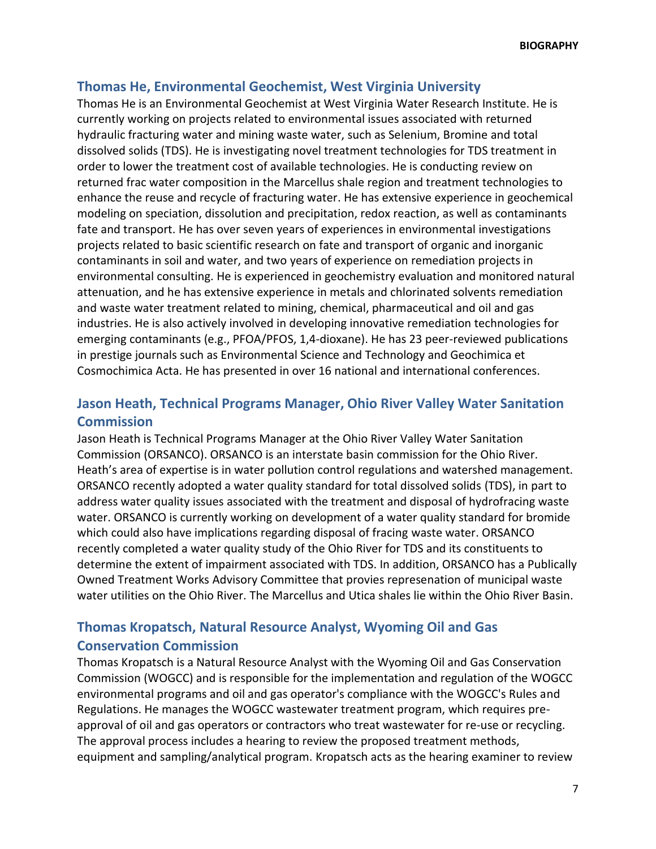## **Thomas He, Environmental Geochemist, West Virginia University**

Thomas He is an Environmental Geochemist at West Virginia Water Research Institute. He is currently working on projects related to environmental issues associated with returned hydraulic fracturing water and mining waste water, such as Selenium, Bromine and total dissolved solids (TDS). He is investigating novel treatment technologies for TDS treatment in order to lower the treatment cost of available technologies. He is conducting review on returned frac water composition in the Marcellus shale region and treatment technologies to enhance the reuse and recycle of fracturing water. He has extensive experience in geochemical modeling on speciation, dissolution and precipitation, redox reaction, as well as contaminants fate and transport. He has over seven years of experiences in environmental investigations projects related to basic scientific research on fate and transport of organic and inorganic contaminants in soil and water, and two years of experience on remediation projects in environmental consulting. He is experienced in geochemistry evaluation and monitored natural attenuation, and he has extensive experience in metals and chlorinated solvents remediation and waste water treatment related to mining, chemical, pharmaceutical and oil and gas industries. He is also actively involved in developing innovative remediation technologies for emerging contaminants (e.g., PFOA/PFOS, 1,4-dioxane). He has 23 peer-reviewed publications in prestige journals such as Environmental Science and Technology and Geochimica et Cosmochimica Acta. He has presented in over 16 national and international conferences.

# **Jason Heath, Technical Programs Manager, Ohio River Valley Water Sanitation Commission**

Jason Heath is Technical Programs Manager at the Ohio River Valley Water Sanitation Commission (ORSANCO). ORSANCO is an interstate basin commission for the Ohio River. Heath's area of expertise is in water pollution control regulations and watershed management. ORSANCO recently adopted a water quality standard for total dissolved solids (TDS), in part to address water quality issues associated with the treatment and disposal of hydrofracing waste water. ORSANCO is currently working on development of a water quality standard for bromide which could also have implications regarding disposal of fracing waste water. ORSANCO recently completed a water quality study of the Ohio River for TDS and its constituents to determine the extent of impairment associated with TDS. In addition, ORSANCO has a Publically Owned Treatment Works Advisory Committee that provies represenation of municipal waste water utilities on the Ohio River. The Marcellus and Utica shales lie within the Ohio River Basin.

# **Thomas Kropatsch, Natural Resource Analyst, Wyoming Oil and Gas Conservation Commission**

Thomas Kropatsch is a Natural Resource Analyst with the Wyoming Oil and Gas Conservation Commission (WOGCC) and is responsible for the implementation and regulation of the WOGCC environmental programs and oil and gas operator's compliance with the WOGCC's Rules and Regulations. He manages the WOGCC wastewater treatment program, which requires preapproval of oil and gas operators or contractors who treat wastewater for re-use or recycling. The approval process includes a hearing to review the proposed treatment methods, equipment and sampling/analytical program. Kropatsch acts as the hearing examiner to review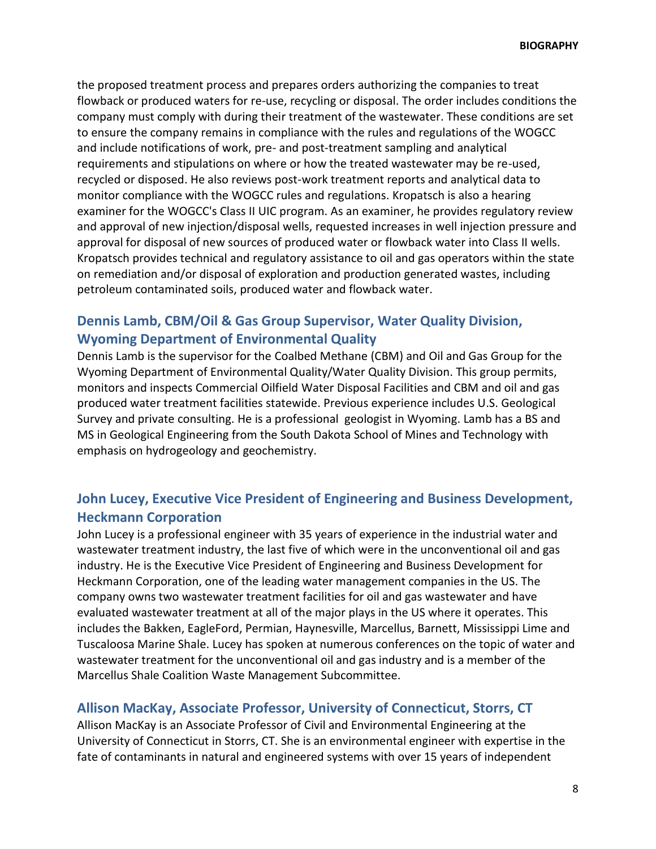the proposed treatment process and prepares orders authorizing the companies to treat flowback or produced waters for re-use, recycling or disposal. The order includes conditions the company must comply with during their treatment of the wastewater. These conditions are set to ensure the company remains in compliance with the rules and regulations of the WOGCC and include notifications of work, pre- and post-treatment sampling and analytical requirements and stipulations on where or how the treated wastewater may be re-used, recycled or disposed. He also reviews post-work treatment reports and analytical data to monitor compliance with the WOGCC rules and regulations. Kropatsch is also a hearing examiner for the WOGCC's Class II UIC program. As an examiner, he provides regulatory review and approval of new injection/disposal wells, requested increases in well injection pressure and approval for disposal of new sources of produced water or flowback water into Class II wells. Kropatsch provides technical and regulatory assistance to oil and gas operators within the state on remediation and/or disposal of exploration and production generated wastes, including petroleum contaminated soils, produced water and flowback water.

# **Dennis Lamb, CBM/Oil & Gas Group Supervisor, Water Quality Division, Wyoming Department of Environmental Quality**

Dennis Lamb is the supervisor for the Coalbed Methane (CBM) and Oil and Gas Group for the Wyoming Department of Environmental Quality/Water Quality Division. This group permits, monitors and inspects Commercial Oilfield Water Disposal Facilities and CBM and oil and gas produced water treatment facilities statewide. Previous experience includes U.S. Geological Survey and private consulting. He is a professional geologist in Wyoming. Lamb has a BS and MS in Geological Engineering from the South Dakota School of Mines and Technology with emphasis on hydrogeology and geochemistry.

# **John Lucey, Executive Vice President of Engineering and Business Development, Heckmann Corporation**

John Lucey is a professional engineer with 35 years of experience in the industrial water and wastewater treatment industry, the last five of which were in the unconventional oil and gas industry. He is the Executive Vice President of Engineering and Business Development for Heckmann Corporation, one of the leading water management companies in the US. The company owns two wastewater treatment facilities for oil and gas wastewater and have evaluated wastewater treatment at all of the major plays in the US where it operates. This includes the Bakken, EagleFord, Permian, Haynesville, Marcellus, Barnett, Mississippi Lime and Tuscaloosa Marine Shale. Lucey has spoken at numerous conferences on the topic of water and wastewater treatment for the unconventional oil and gas industry and is a member of the Marcellus Shale Coalition Waste Management Subcommittee.

### **Allison MacKay, Associate Professor, University of Connecticut, Storrs, CT**

Allison MacKay is an Associate Professor of Civil and Environmental Engineering at the University of Connecticut in Storrs, CT. She is an environmental engineer with expertise in the fate of contaminants in natural and engineered systems with over 15 years of independent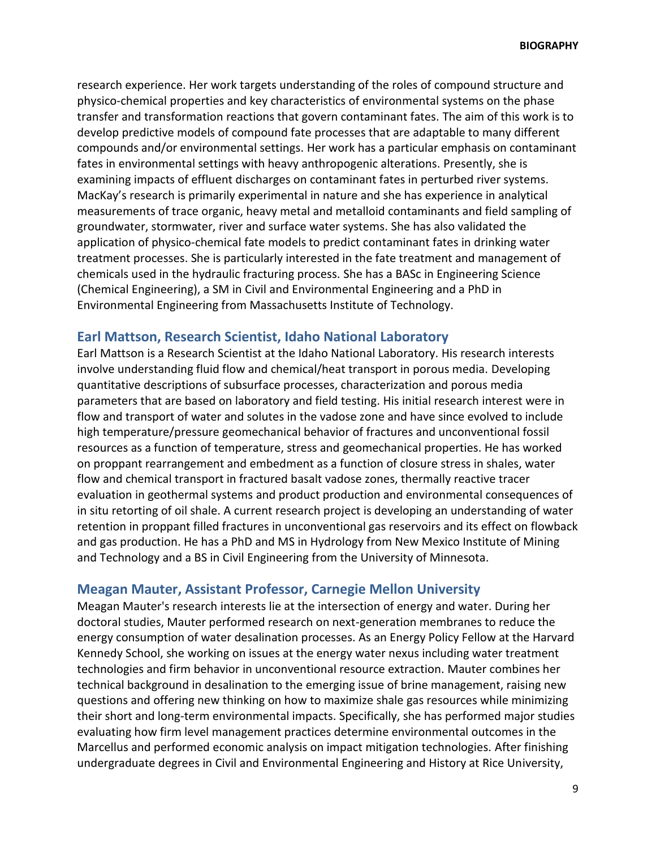research experience. Her work targets understanding of the roles of compound structure and physico-chemical properties and key characteristics of environmental systems on the phase transfer and transformation reactions that govern contaminant fates. The aim of this work is to develop predictive models of compound fate processes that are adaptable to many different compounds and/or environmental settings. Her work has a particular emphasis on contaminant fates in environmental settings with heavy anthropogenic alterations. Presently, she is examining impacts of effluent discharges on contaminant fates in perturbed river systems. MacKay's research is primarily experimental in nature and she has experience in analytical measurements of trace organic, heavy metal and metalloid contaminants and field sampling of groundwater, stormwater, river and surface water systems. She has also validated the application of physico-chemical fate models to predict contaminant fates in drinking water treatment processes. She is particularly interested in the fate treatment and management of chemicals used in the hydraulic fracturing process. She has a BASc in Engineering Science (Chemical Engineering), a SM in Civil and Environmental Engineering and a PhD in Environmental Engineering from Massachusetts Institute of Technology.

#### **Earl Mattson, Research Scientist, Idaho National Laboratory**

Earl Mattson is a Research Scientist at the Idaho National Laboratory. His research interests involve understanding fluid flow and chemical/heat transport in porous media. Developing quantitative descriptions of subsurface processes, characterization and porous media parameters that are based on laboratory and field testing. His initial research interest were in flow and transport of water and solutes in the vadose zone and have since evolved to include high temperature/pressure geomechanical behavior of fractures and unconventional fossil resources as a function of temperature, stress and geomechanical properties. He has worked on proppant rearrangement and embedment as a function of closure stress in shales, water flow and chemical transport in fractured basalt vadose zones, thermally reactive tracer evaluation in geothermal systems and product production and environmental consequences of in situ retorting of oil shale. A current research project is developing an understanding of water retention in proppant filled fractures in unconventional gas reservoirs and its effect on flowback and gas production. He has a PhD and MS in Hydrology from New Mexico Institute of Mining and Technology and a BS in Civil Engineering from the University of Minnesota.

### **Meagan Mauter, Assistant Professor, Carnegie Mellon University**

Meagan Mauter's research interests lie at the intersection of energy and water. During her doctoral studies, Mauter performed research on next-generation membranes to reduce the energy consumption of water desalination processes. As an Energy Policy Fellow at the Harvard Kennedy School, she working on issues at the energy water nexus including water treatment technologies and firm behavior in unconventional resource extraction. Mauter combines her technical background in desalination to the emerging issue of brine management, raising new questions and offering new thinking on how to maximize shale gas resources while minimizing their short and long-term environmental impacts. Specifically, she has performed major studies evaluating how firm level management practices determine environmental outcomes in the Marcellus and performed economic analysis on impact mitigation technologies. After finishing undergraduate degrees in Civil and Environmental Engineering and History at Rice University,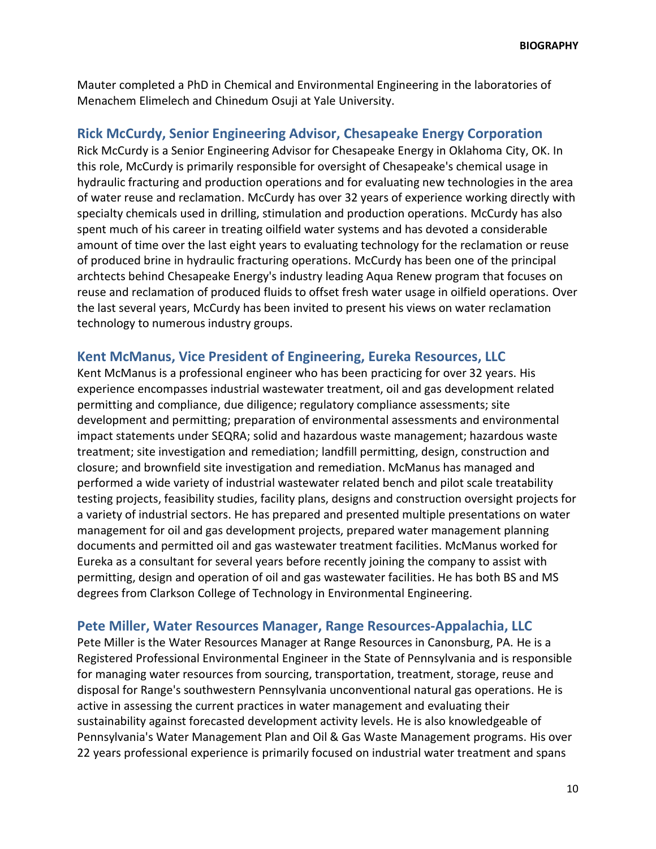Mauter completed a PhD in Chemical and Environmental Engineering in the laboratories of Menachem Elimelech and Chinedum Osuji at Yale University.

## **Rick McCurdy, Senior Engineering Advisor, Chesapeake Energy Corporation**

Rick McCurdy is a Senior Engineering Advisor for Chesapeake Energy in Oklahoma City, OK. In this role, McCurdy is primarily responsible for oversight of Chesapeake's chemical usage in hydraulic fracturing and production operations and for evaluating new technologies in the area of water reuse and reclamation. McCurdy has over 32 years of experience working directly with specialty chemicals used in drilling, stimulation and production operations. McCurdy has also spent much of his career in treating oilfield water systems and has devoted a considerable amount of time over the last eight years to evaluating technology for the reclamation or reuse of produced brine in hydraulic fracturing operations. McCurdy has been one of the principal archtects behind Chesapeake Energy's industry leading Aqua Renew program that focuses on reuse and reclamation of produced fluids to offset fresh water usage in oilfield operations. Over the last several years, McCurdy has been invited to present his views on water reclamation technology to numerous industry groups.

### **Kent McManus, Vice President of Engineering, Eureka Resources, LLC**

Kent McManus is a professional engineer who has been practicing for over 32 years. His experience encompasses industrial wastewater treatment, oil and gas development related permitting and compliance, due diligence; regulatory compliance assessments; site development and permitting; preparation of environmental assessments and environmental impact statements under SEQRA; solid and hazardous waste management; hazardous waste treatment; site investigation and remediation; landfill permitting, design, construction and closure; and brownfield site investigation and remediation. McManus has managed and performed a wide variety of industrial wastewater related bench and pilot scale treatability testing projects, feasibility studies, facility plans, designs and construction oversight projects for a variety of industrial sectors. He has prepared and presented multiple presentations on water management for oil and gas development projects, prepared water management planning documents and permitted oil and gas wastewater treatment facilities. McManus worked for Eureka as a consultant for several years before recently joining the company to assist with permitting, design and operation of oil and gas wastewater facilities. He has both BS and MS degrees from Clarkson College of Technology in Environmental Engineering.

### **Pete Miller, Water Resources Manager, Range Resources-Appalachia, LLC**

Pete Miller is the Water Resources Manager at Range Resources in Canonsburg, PA. He is a Registered Professional Environmental Engineer in the State of Pennsylvania and is responsible for managing water resources from sourcing, transportation, treatment, storage, reuse and disposal for Range's southwestern Pennsylvania unconventional natural gas operations. He is active in assessing the current practices in water management and evaluating their sustainability against forecasted development activity levels. He is also knowledgeable of Pennsylvania's Water Management Plan and Oil & Gas Waste Management programs. His over 22 years professional experience is primarily focused on industrial water treatment and spans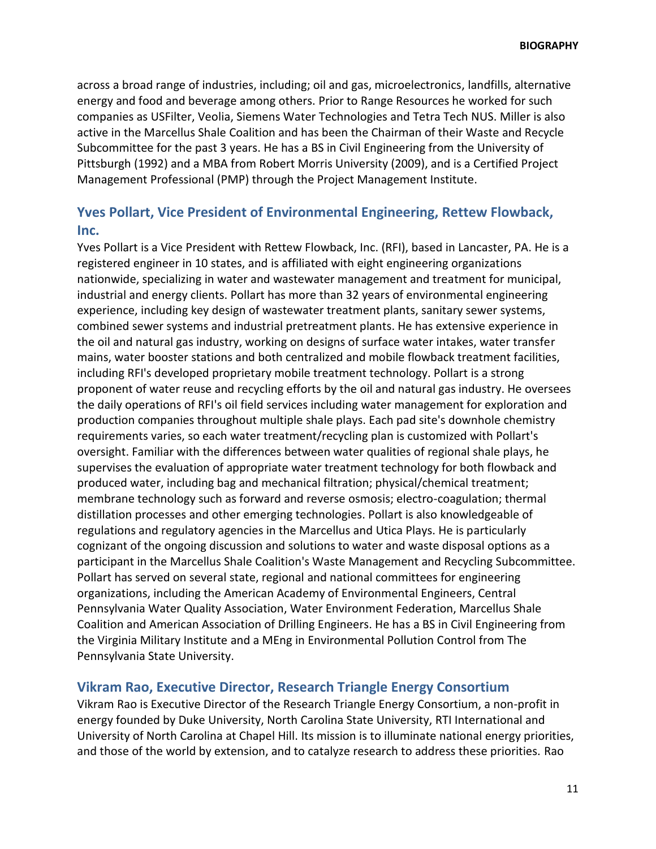across a broad range of industries, including; oil and gas, microelectronics, landfills, alternative energy and food and beverage among others. Prior to Range Resources he worked for such companies as USFilter, Veolia, Siemens Water Technologies and Tetra Tech NUS. Miller is also active in the Marcellus Shale Coalition and has been the Chairman of their Waste and Recycle Subcommittee for the past 3 years. He has a BS in Civil Engineering from the University of Pittsburgh (1992) and a MBA from Robert Morris University (2009), and is a Certified Project Management Professional (PMP) through the Project Management Institute.

# **Yves Pollart, Vice President of Environmental Engineering, Rettew Flowback, Inc.**

Yves Pollart is a Vice President with Rettew Flowback, Inc. (RFI), based in Lancaster, PA. He is a registered engineer in 10 states, and is affiliated with eight engineering organizations nationwide, specializing in water and wastewater management and treatment for municipal, industrial and energy clients. Pollart has more than 32 years of environmental engineering experience, including key design of wastewater treatment plants, sanitary sewer systems, combined sewer systems and industrial pretreatment plants. He has extensive experience in the oil and natural gas industry, working on designs of surface water intakes, water transfer mains, water booster stations and both centralized and mobile flowback treatment facilities, including RFI's developed proprietary mobile treatment technology. Pollart is a strong proponent of water reuse and recycling efforts by the oil and natural gas industry. He oversees the daily operations of RFI's oil field services including water management for exploration and production companies throughout multiple shale plays. Each pad site's downhole chemistry requirements varies, so each water treatment/recycling plan is customized with Pollart's oversight. Familiar with the differences between water qualities of regional shale plays, he supervises the evaluation of appropriate water treatment technology for both flowback and produced water, including bag and mechanical filtration; physical/chemical treatment; membrane technology such as forward and reverse osmosis; electro-coagulation; thermal distillation processes and other emerging technologies. Pollart is also knowledgeable of regulations and regulatory agencies in the Marcellus and Utica Plays. He is particularly cognizant of the ongoing discussion and solutions to water and waste disposal options as a participant in the Marcellus Shale Coalition's Waste Management and Recycling Subcommittee. Pollart has served on several state, regional and national committees for engineering organizations, including the American Academy of Environmental Engineers, Central Pennsylvania Water Quality Association, Water Environment Federation, Marcellus Shale Coalition and American Association of Drilling Engineers. He has a BS in Civil Engineering from the Virginia Military Institute and a MEng in Environmental Pollution Control from The Pennsylvania State University.

### **Vikram Rao, Executive Director, Research Triangle Energy Consortium**

Vikram Rao is Executive Director of the Research Triangle Energy Consortium, a non-profit in energy founded by Duke University, North Carolina State University, RTI International and University of North Carolina at Chapel Hill. Its mission is to illuminate national energy priorities, and those of the world by extension, and to catalyze research to address these priorities. Rao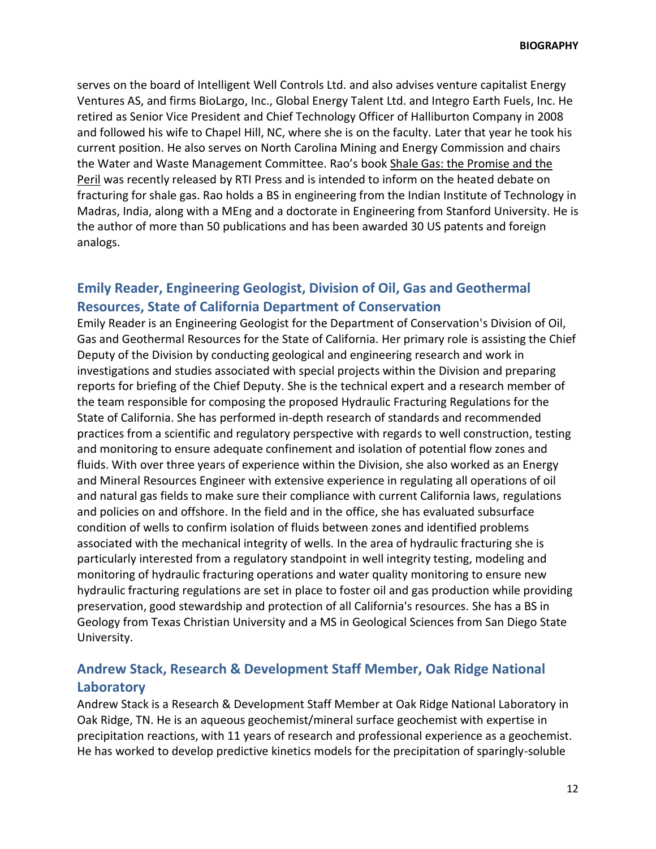serves on the board of Intelligent Well Controls Ltd. and also advises venture capitalist Energy Ventures AS, and firms BioLargo, Inc., Global Energy Talent Ltd. and Integro Earth Fuels, Inc. He retired as Senior Vice President and Chief Technology Officer of Halliburton Company in 2008 and followed his wife to Chapel Hill, NC, where she is on the faculty. Later that year he took his current position. He also serves on North Carolina Mining and Energy Commission and chairs the Water and Waste Management Committee. Rao's book Shale Gas: the Promise and the Peril was recently released by RTI Press and is intended to inform on the heated debate on fracturing for shale gas. Rao holds a BS in engineering from the Indian Institute of Technology in Madras, India, along with a MEng and a doctorate in Engineering from Stanford University. He is the author of more than 50 publications and has been awarded 30 US patents and foreign analogs.

## **Emily Reader, Engineering Geologist, Division of Oil, Gas and Geothermal Resources, State of California Department of Conservation**

Emily Reader is an Engineering Geologist for the Department of Conservation's Division of Oil, Gas and Geothermal Resources for the State of California. Her primary role is assisting the Chief Deputy of the Division by conducting geological and engineering research and work in investigations and studies associated with special projects within the Division and preparing reports for briefing of the Chief Deputy. She is the technical expert and a research member of the team responsible for composing the proposed Hydraulic Fracturing Regulations for the State of California. She has performed in-depth research of standards and recommended practices from a scientific and regulatory perspective with regards to well construction, testing and monitoring to ensure adequate confinement and isolation of potential flow zones and fluids. With over three years of experience within the Division, she also worked as an Energy and Mineral Resources Engineer with extensive experience in regulating all operations of oil and natural gas fields to make sure their compliance with current California laws, regulations and policies on and offshore. In the field and in the office, she has evaluated subsurface condition of wells to confirm isolation of fluids between zones and identified problems associated with the mechanical integrity of wells. In the area of hydraulic fracturing she is particularly interested from a regulatory standpoint in well integrity testing, modeling and monitoring of hydraulic fracturing operations and water quality monitoring to ensure new hydraulic fracturing regulations are set in place to foster oil and gas production while providing preservation, good stewardship and protection of all California's resources. She has a BS in Geology from Texas Christian University and a MS in Geological Sciences from San Diego State University.

# **Andrew Stack, Research & Development Staff Member, Oak Ridge National Laboratory**

Andrew Stack is a Research & Development Staff Member at Oak Ridge National Laboratory in Oak Ridge, TN. He is an aqueous geochemist/mineral surface geochemist with expertise in precipitation reactions, with 11 years of research and professional experience as a geochemist. He has worked to develop predictive kinetics models for the precipitation of sparingly-soluble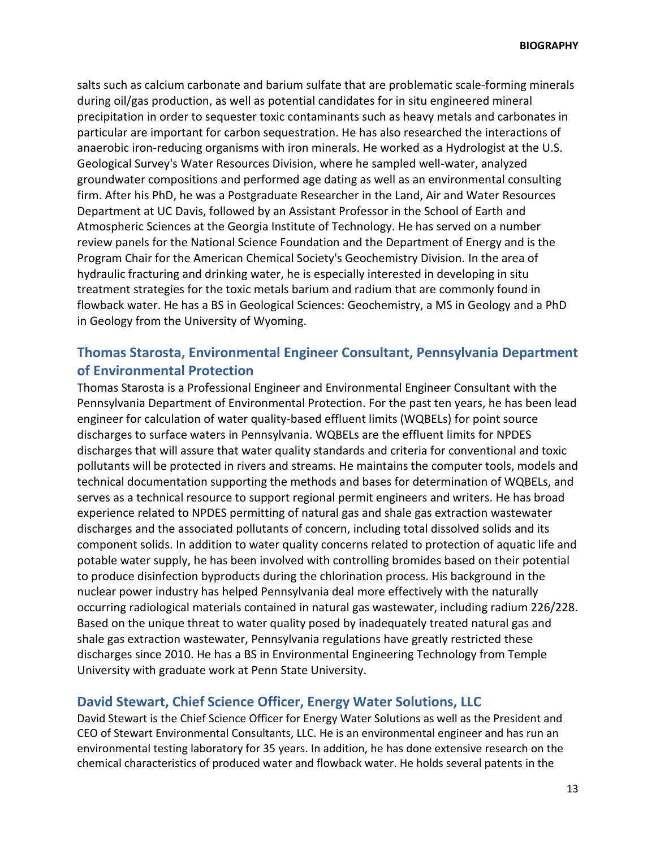salts such as calcium carbonate and barium sulfate that are problematic scale-forming minerals during oil/gas production, as well as potential candidates for in situ engineered mineral precipitation in order to sequester toxic contaminants such as heavy metals and carbonates in particular are important for carbon sequestration. He has also researched the interactions of anaerobic iron-reducing organisms with iron minerals. He worked as a Hydrologist at the U.S. Geological Survey's Water Resources Division, where he sampled well-water, analyzed groundwater compositions and performed age dating as well as an environmental consulting firm. After his PhD, he was a Postgraduate Researcher in the Land, Air and Water Resources Department at UC Davis, followed by an Assistant Professor in the School of Earth and Atmospheric Sciences at the Georgia Institute of Technology. He has served on a number review panels for the National Science Foundation and the Department of Energy and is the Program Chair for the American Chemical Society's Geochemistry Division. In the area of hydraulic fracturing and drinking water, he is especially interested in developing in situ treatment strategies for the toxic metals barium and radium that are commonly found in flowback water. He has a BS in Geological Sciences: Geochemistry, a MS in Geology and a PhD in Geology from the University of Wyoming.

# **Thomas Starosta, Environmental Engineer Consultant, Pennsylvania Department of Environmental Protection**

Thomas Starosta is a Professional Engineer and Environmental Engineer Consultant with the Pennsylvania Department of Environmental Protection. For the past ten years, he has been lead engineer for calculation of water quality-based effluent limits (WQBELs) for point source discharges to surface waters in Pennsylvania. WQBELs are the effluent limits for NPDES discharges that will assure that water quality standards and criteria for conventional and toxic pollutants will be protected in rivers and streams. He maintains the computer tools, models and technical documentation supporting the methods and bases for determination of WQBELs, and serves as a technical resource to support regional permit engineers and writers. He has broad experience related to NPDES permitting of natural gas and shale gas extraction wastewater discharges and the associated pollutants of concern, including total dissolved solids and its component solids. In addition to water quality concerns related to protection of aquatic life and potable water supply, he has been involved with controlling bromides based on their potential to produce disinfection byproducts during the chlorination process. His background in the nuclear power industry has helped Pennsylvania deal more effectively with the naturally occurring radiological materials contained in natural gas wastewater, including radium 226/228. Based on the unique threat to water quality posed by inadequately treated natural gas and shale gas extraction wastewater, Pennsylvania regulations have greatly restricted these discharges since 2010. He has a BS in Environmental Engineering Technology from Temple University with graduate work at Penn State University.

### **David Stewart, Chief Science Officer, Energy Water Solutions, LLC**

David Stewart is the Chief Science Officer for Energy Water Solutions as well as the President and CEO of Stewart Environmental Consultants, LLC. He is an environmental engineer and has run an environmental testing laboratory for 35 years. In addition, he has done extensive research on the chemical characteristics of produced water and flowback water. He holds several patents in the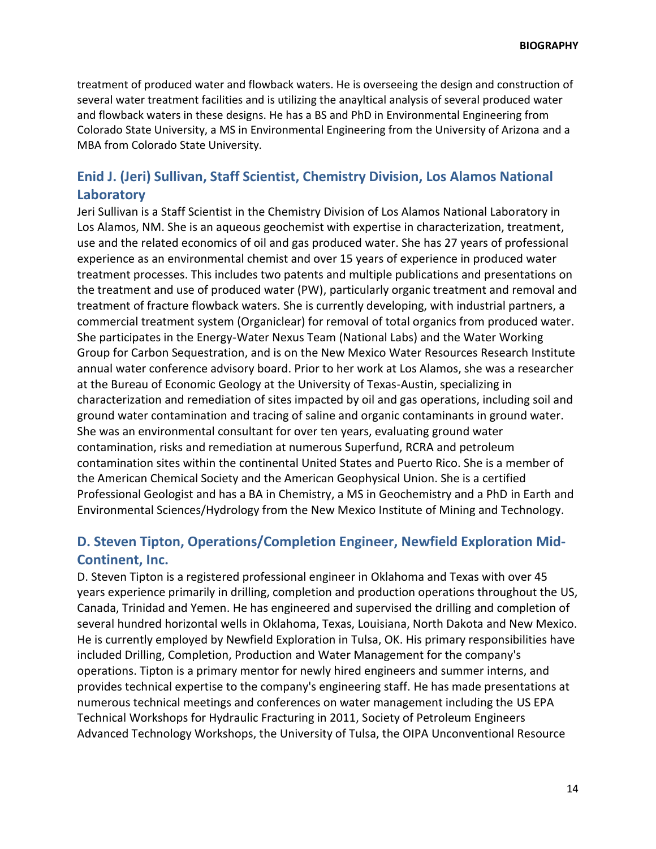treatment of produced water and flowback waters. He is overseeing the design and construction of several water treatment facilities and is utilizing the anayltical analysis of several produced water and flowback waters in these designs. He has a BS and PhD in Environmental Engineering from Colorado State University, a MS in Environmental Engineering from the University of Arizona and a MBA from Colorado State University.

# **Enid J. (Jeri) Sullivan, Staff Scientist, Chemistry Division, Los Alamos National Laboratory**

Jeri Sullivan is a Staff Scientist in the Chemistry Division of Los Alamos National Laboratory in Los Alamos, NM. She is an aqueous geochemist with expertise in characterization, treatment, use and the related economics of oil and gas produced water. She has 27 years of professional experience as an environmental chemist and over 15 years of experience in produced water treatment processes. This includes two patents and multiple publications and presentations on the treatment and use of produced water (PW), particularly organic treatment and removal and treatment of fracture flowback waters. She is currently developing, with industrial partners, a commercial treatment system (Organiclear) for removal of total organics from produced water. She participates in the Energy-Water Nexus Team (National Labs) and the Water Working Group for Carbon Sequestration, and is on the New Mexico Water Resources Research Institute annual water conference advisory board. Prior to her work at Los Alamos, she was a researcher at the Bureau of Economic Geology at the University of Texas-Austin, specializing in characterization and remediation of sites impacted by oil and gas operations, including soil and ground water contamination and tracing of saline and organic contaminants in ground water. She was an environmental consultant for over ten years, evaluating ground water contamination, risks and remediation at numerous Superfund, RCRA and petroleum contamination sites within the continental United States and Puerto Rico. She is a member of the American Chemical Society and the American Geophysical Union. She is a certified Professional Geologist and has a BA in Chemistry, a MS in Geochemistry and a PhD in Earth and Environmental Sciences/Hydrology from the New Mexico Institute of Mining and Technology.

## **D. Steven Tipton, Operations/Completion Engineer, Newfield Exploration Mid-Continent, Inc.**

D. Steven Tipton is a registered professional engineer in Oklahoma and Texas with over 45 years experience primarily in drilling, completion and production operations throughout the US, Canada, Trinidad and Yemen. He has engineered and supervised the drilling and completion of several hundred horizontal wells in Oklahoma, Texas, Louisiana, North Dakota and New Mexico. He is currently employed by Newfield Exploration in Tulsa, OK. His primary responsibilities have included Drilling, Completion, Production and Water Management for the company's operations. Tipton is a primary mentor for newly hired engineers and summer interns, and provides technical expertise to the company's engineering staff. He has made presentations at numerous technical meetings and conferences on water management including the US EPA Technical Workshops for Hydraulic Fracturing in 2011, Society of Petroleum Engineers Advanced Technology Workshops, the University of Tulsa, the OIPA Unconventional Resource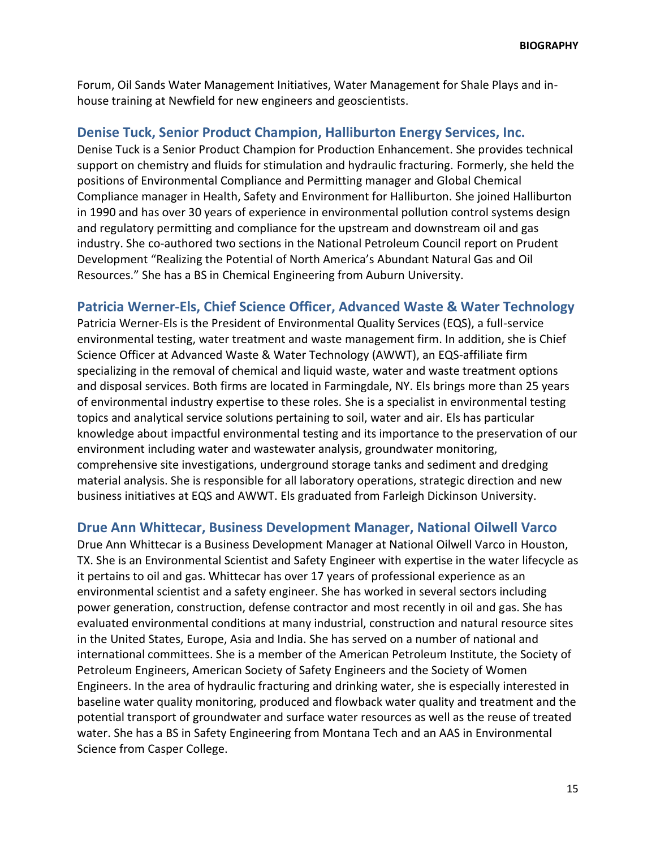Forum, Oil Sands Water Management Initiatives, Water Management for Shale Plays and inhouse training at Newfield for new engineers and geoscientists.

### **Denise Tuck, Senior Product Champion, Halliburton Energy Services, Inc.**

Denise Tuck is a Senior Product Champion for Production Enhancement. She provides technical support on chemistry and fluids for stimulation and hydraulic fracturing. Formerly, she held the positions of Environmental Compliance and Permitting manager and Global Chemical Compliance manager in Health, Safety and Environment for Halliburton. She joined Halliburton in 1990 and has over 30 years of experience in environmental pollution control systems design and regulatory permitting and compliance for the upstream and downstream oil and gas industry. She co-authored two sections in the National Petroleum Council report on Prudent Development "Realizing the Potential of North America's Abundant Natural Gas and Oil Resources." She has a BS in Chemical Engineering from Auburn University.

### **Patricia Werner-Els, Chief Science Officer, Advanced Waste & Water Technology**

Patricia Werner-Els is the President of Environmental Quality Services (EQS), a full-service environmental testing, water treatment and waste management firm. In addition, she is Chief Science Officer at Advanced Waste & Water Technology (AWWT), an EQS-affiliate firm specializing in the removal of chemical and liquid waste, water and waste treatment options and disposal services. Both firms are located in Farmingdale, NY. Els brings more than 25 years of environmental industry expertise to these roles. She is a specialist in environmental testing topics and analytical service solutions pertaining to soil, water and air. Els has particular knowledge about impactful environmental testing and its importance to the preservation of our environment including water and wastewater analysis, groundwater monitoring, comprehensive site investigations, underground storage tanks and sediment and dredging material analysis. She is responsible for all laboratory operations, strategic direction and new business initiatives at EQS and AWWT. Els graduated from Farleigh Dickinson University.

### **Drue Ann Whittecar, Business Development Manager, National Oilwell Varco**

Drue Ann Whittecar is a Business Development Manager at National Oilwell Varco in Houston, TX. She is an Environmental Scientist and Safety Engineer with expertise in the water lifecycle as it pertains to oil and gas. Whittecar has over 17 years of professional experience as an environmental scientist and a safety engineer. She has worked in several sectors including power generation, construction, defense contractor and most recently in oil and gas. She has evaluated environmental conditions at many industrial, construction and natural resource sites in the United States, Europe, Asia and India. She has served on a number of national and international committees. She is a member of the American Petroleum Institute, the Society of Petroleum Engineers, American Society of Safety Engineers and the Society of Women Engineers. In the area of hydraulic fracturing and drinking water, she is especially interested in baseline water quality monitoring, produced and flowback water quality and treatment and the potential transport of groundwater and surface water resources as well as the reuse of treated water. She has a BS in Safety Engineering from Montana Tech and an AAS in Environmental Science from Casper College.